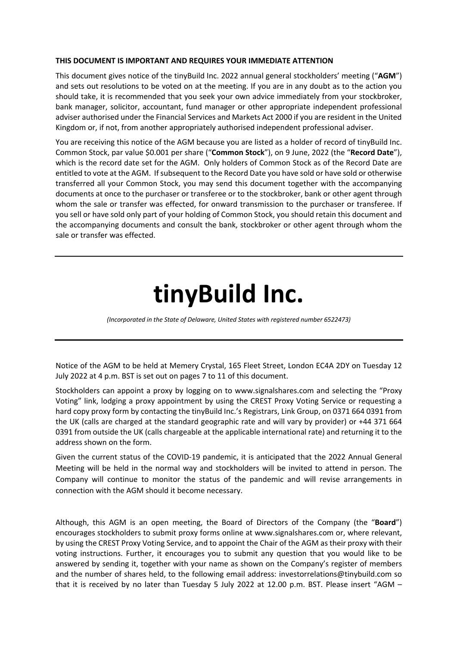#### **THIS DOCUMENT IS IMPORTANT AND REQUIRES YOUR IMMEDIATE ATTENTION**

This document gives notice of the tinyBuild Inc. 2022 annual general stockholders' meeting ("**AGM**") and sets out resolutions to be voted on at the meeting. If you are in any doubt as to the action you should take, it is recommended that you seek your own advice immediately from your stockbroker, bank manager, solicitor, accountant, fund manager or other appropriate independent professional adviser authorised under the Financial Services and Markets Act 2000 if you are resident in the United Kingdom or, if not, from another appropriately authorised independent professional adviser.

You are receiving this notice of the AGM because you are listed as a holder of record of tinyBuild Inc. Common Stock, par value \$0.001 per share ("**Common Stock**"), on 9 June, 2022 (the "**Record Date**"), which is the record date set for the AGM. Only holders of Common Stock as of the Record Date are entitled to vote at the AGM. If subsequent to the Record Date you have sold or have sold or otherwise transferred all your Common Stock, you may send this document together with the accompanying documents at once to the purchaser or transferee or to the stockbroker, bank or other agent through whom the sale or transfer was effected, for onward transmission to the purchaser or transferee. If you sell or have sold only part of your holding of Common Stock, you should retain this document and the accompanying documents and consult the bank, stockbroker or other agent through whom the sale or transfer was effected.

# **tinyBuild Inc.**

*(Incorporated in the State of Delaware, United States with registered number 6522473)*

Notice of the AGM to be held at Memery Crystal, 165 Fleet Street, London EC4A 2DY on Tuesday 12 July 2022 at 4 p.m. BST is set out on pages 7 to 11 of this document.

Stockholders can appoint a proxy by logging on to www.signalshares.com and selecting the "Proxy Voting" link, lodging a proxy appointment by using the CREST Proxy Voting Service or requesting a hard copy proxy form by contacting the tinyBuild Inc.'s Registrars, Link Group, on 0371 664 0391 from the UK (calls are charged at the standard geographic rate and will vary by provider) or +44 371 664 0391 from outside the UK (calls chargeable at the applicable international rate) and returning it to the address shown on the form.

Given the current status of the COVID-19 pandemic, it is anticipated that the 2022 Annual General Meeting will be held in the normal way and stockholders will be invited to attend in person. The Company will continue to monitor the status of the pandemic and will revise arrangements in connection with the AGM should it become necessary.

Although, this AGM is an open meeting, the Board of Directors of the Company (the "**Board**") encourages stockholders to submit proxy forms online at www.signalshares.com or, where relevant, by using the CREST Proxy Voting Service, and to appoint the Chair of the AGM as their proxy with their voting instructions. Further, it encourages you to submit any question that you would like to be answered by sending it, together with your name as shown on the Company's register of members and the number of shares held, to the following email address: investorrelations@tinybuild.com so that it is received by no later than Tuesday 5 July 2022 at 12.00 p.m. BST. Please insert "AGM –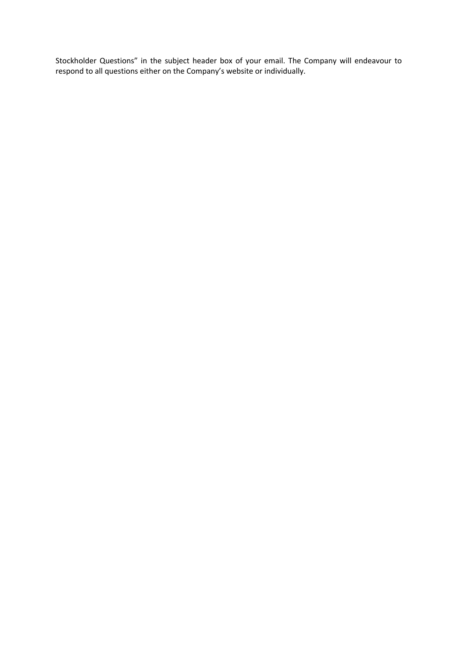Stockholder Questions" in the subject header box of your email. The Company will endeavour to respond to all questions either on the Company's website or individually.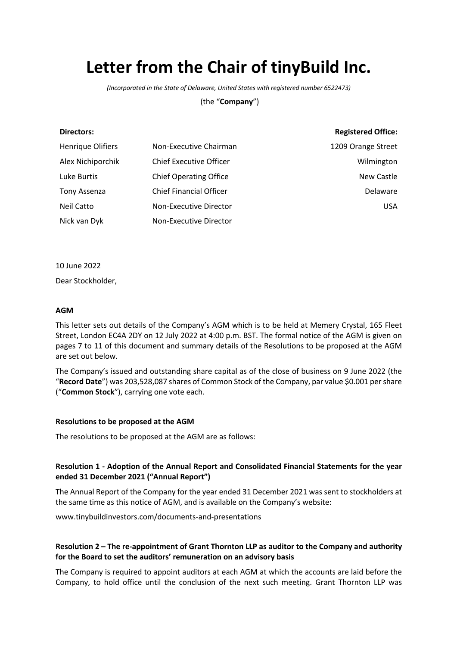### **Letter from the Chair of tinyBuild Inc.**

*(Incorporated in the State of Delaware, United States with registered number 6522473)*

(the "**Company**")

| <b>Directors:</b>        |                                | <b>Registered Office:</b> |
|--------------------------|--------------------------------|---------------------------|
| <b>Henrique Olifiers</b> | Non-Executive Chairman         | 1209 Orange Street        |
| Alex Nichiporchik        | <b>Chief Executive Officer</b> | Wilmington                |
| Luke Burtis              | <b>Chief Operating Office</b>  | <b>New Castle</b>         |
| Tony Assenza             | <b>Chief Financial Officer</b> | Delaware                  |
| Neil Catto               | Non-Executive Director         | <b>USA</b>                |
| Nick van Dyk             | Non-Executive Director         |                           |

10 June 2022

Dear Stockholder,

#### **AGM**

This letter sets out details of the Company's AGM which is to be held at Memery Crystal, 165 Fleet Street, London EC4A 2DY on 12 July 2022 at 4:00 p.m. BST. The formal notice of the AGM is given on pages 7 to 11 of this document and summary details of the Resolutions to be proposed at the AGM are set out below.

The Company's issued and outstanding share capital as of the close of business on 9 June 2022 (the "**Record Date**") was 203,528,087 shares of Common Stock of the Company, par value \$0.001 per share ("**Common Stock**"), carrying one vote each.

#### **Resolutions to be proposed at the AGM**

The resolutions to be proposed at the AGM are as follows:

#### **Resolution 1 - Adoption of the Annual Report and Consolidated Financial Statements for the year ended 31 December 2021 ("Annual Report")**

The Annual Report of the Company for the year ended 31 December 2021 was sent to stockholders at the same time as this notice of AGM, and is available on the Company's website:

www.tinybuildinvestors.com/documents-and-presentations

#### **Resolution 2 – The re-appointment of Grant Thornton LLP as auditor to the Company and authority for the Board to set the auditors' remuneration on an advisory basis**

The Company is required to appoint auditors at each AGM at which the accounts are laid before the Company, to hold office until the conclusion of the next such meeting. Grant Thornton LLP was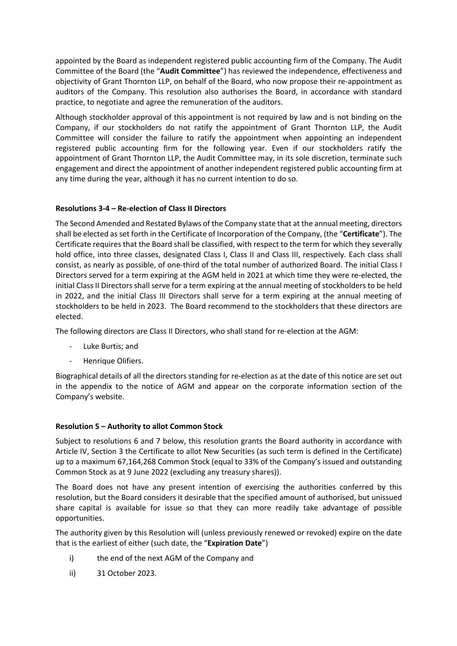appointed by the Board as independent registered public accounting firm of the Company. The Audit Committee of the Board (the "**Audit Committee**") has reviewed the independence, effectiveness and objectivity of Grant Thornton LLP, on behalf of the Board, who now propose their re-appointment as auditors of the Company. This resolution also authorises the Board, in accordance with standard practice, to negotiate and agree the remuneration of the auditors.

Although stockholder approval of this appointment is not required by law and is not binding on the Company, if our stockholders do not ratify the appointment of Grant Thornton LLP, the Audit Committee will consider the failure to ratify the appointment when appointing an independent registered public accounting firm for the following year. Even if our stockholders ratify the appointment of Grant Thornton LLP, the Audit Committee may, in its sole discretion, terminate such engagement and direct the appointment of another independent registered public accounting firm at any time during the year, although it has no current intention to do so.

#### **Resolutions 3-4 – Re-election of Class II Directors**

The Second Amended and Restated Bylaws of the Company state that at the annual meeting, directors shall be elected as set forth in the Certificate of Incorporation of the Company, (the "**Certificate**"). The Certificate requires that the Board shall be classified, with respect to the term for which they severally hold office, into three classes, designated Class I, Class II and Class III, respectively. Each class shall consist, as nearly as possible, of one-third of the total number of authorized Board. The initial Class I Directors served for a term expiring at the AGM held in 2021 at which time they were re-elected, the initial Class II Directors shall serve for a term expiring at the annual meeting of stockholders to be held in 2022, and the initial Class III Directors shall serve for a term expiring at the annual meeting of stockholders to be held in 2023. The Board recommend to the stockholders that these directors are elected.

The following directors are Class II Directors, who shall stand for re-election at the AGM:

- Luke Burtis; and
- Henrique Olifiers.

Biographical details of all the directors standing for re-election as at the date of this notice are set out in the appendix to the notice of AGM and appear on the corporate information section of the Company's website.

#### **Resolution 5 – Authority to allot Common Stock**

Subject to resolutions 6 and 7 below, this resolution grants the Board authority in accordance with Article IV, Section 3 the Certificate to allot New Securities (as such term is defined in the Certificate) up to a maximum 67,164,268 Common Stock (equal to 33% of the Company's issued and outstanding Common Stock as at 9 June 2022 (excluding any treasury shares)).

The Board does not have any present intention of exercising the authorities conferred by this resolution, but the Board considers it desirable that the specified amount of authorised, but unissued share capital is available for issue so that they can more readily take advantage of possible opportunities.

The authority given by this Resolution will (unless previously renewed or revoked) expire on the date that is the earliest of either (such date, the "**Expiration Date**")

- i) the end of the next AGM of the Company and
- ii) 31 October 2023.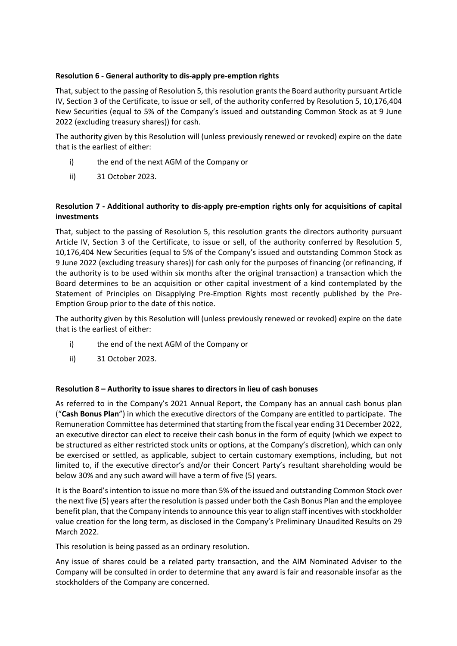#### **Resolution 6 - General authority to dis-apply pre-emption rights**

That, subject to the passing of Resolution 5, this resolution grants the Board authority pursuant Article IV, Section 3 of the Certificate, to issue or sell, of the authority conferred by Resolution 5, 10,176,404 New Securities (equal to 5% of the Company's issued and outstanding Common Stock as at 9 June 2022 (excluding treasury shares)) for cash.

The authority given by this Resolution will (unless previously renewed or revoked) expire on the date that is the earliest of either:

- i) the end of the next AGM of the Company or
- ii) 31 October 2023.

#### **Resolution 7 - Additional authority to dis-apply pre-emption rights only for acquisitions of capital investments**

That, subject to the passing of Resolution 5, this resolution grants the directors authority pursuant Article IV, Section 3 of the Certificate, to issue or sell, of the authority conferred by Resolution 5, 10,176,404 New Securities (equal to 5% of the Company's issued and outstanding Common Stock as 9 June 2022 (excluding treasury shares)) for cash only for the purposes of financing (or refinancing, if the authority is to be used within six months after the original transaction) a transaction which the Board determines to be an acquisition or other capital investment of a kind contemplated by the Statement of Principles on Disapplying Pre-Emption Rights most recently published by the Pre-Emption Group prior to the date of this notice.

The authority given by this Resolution will (unless previously renewed or revoked) expire on the date that is the earliest of either:

- i) the end of the next AGM of the Company or
- ii) 31 October 2023.

#### **Resolution 8 – Authority to issue shares to directors in lieu of cash bonuses**

As referred to in the Company's 2021 Annual Report, the Company has an annual cash bonus plan ("**Cash Bonus Plan**") in which the executive directors of the Company are entitled to participate. The Remuneration Committee has determined that starting from the fiscal year ending 31 December 2022, an executive director can elect to receive their cash bonus in the form of equity (which we expect to be structured as either restricted stock units or options, at the Company's discretion), which can only be exercised or settled, as applicable, subject to certain customary exemptions, including, but not limited to, if the executive director's and/or their Concert Party's resultant shareholding would be below 30% and any such award will have a term of five (5) years.

It is the Board's intention to issue no more than 5% of the issued and outstanding Common Stock over the next five (5) years after the resolution is passed under both the Cash Bonus Plan and the employee benefit plan, that the Company intends to announce this year to align staff incentives with stockholder value creation for the long term, as disclosed in the Company's Preliminary Unaudited Results on 29 March 2022.

This resolution is being passed as an ordinary resolution.

Any issue of shares could be a related party transaction, and the AIM Nominated Adviser to the Company will be consulted in order to determine that any award is fair and reasonable insofar as the stockholders of the Company are concerned.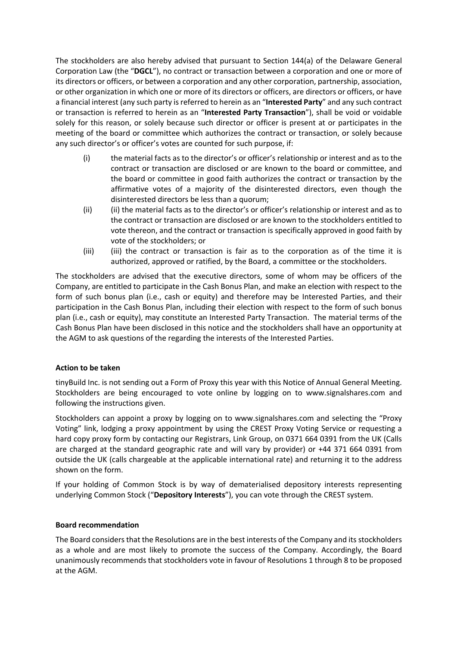The stockholders are also hereby advised that pursuant to Section 144(a) of the Delaware General Corporation Law (the "**DGCL**"), no contract or transaction between a corporation and one or more of its directors or officers, or between a corporation and any other corporation, partnership, association, or other organization in which one or more of its directors or officers, are directors or officers, or have a financial interest (any such party is referred to herein as an "**Interested Party**" and any such contract or transaction is referred to herein as an "**Interested Party Transaction**"), shall be void or voidable solely for this reason, or solely because such director or officer is present at or participates in the meeting of the board or committee which authorizes the contract or transaction, or solely because any such director's or officer's votes are counted for such purpose, if:

- (i) the material facts as to the director's or officer's relationship or interest and as to the contract or transaction are disclosed or are known to the board or committee, and the board or committee in good faith authorizes the contract or transaction by the affirmative votes of a majority of the disinterested directors, even though the disinterested directors be less than a quorum;
- (ii) (ii) the material facts as to the director's or officer's relationship or interest and as to the contract or transaction are disclosed or are known to the stockholders entitled to vote thereon, and the contract or transaction is specifically approved in good faith by vote of the stockholders; or
- (iii) (iii) the contract or transaction is fair as to the corporation as of the time it is authorized, approved or ratified, by the Board, a committee or the stockholders.

The stockholders are advised that the executive directors, some of whom may be officers of the Company, are entitled to participate in the Cash Bonus Plan, and make an election with respect to the form of such bonus plan (i.e., cash or equity) and therefore may be Interested Parties, and their participation in the Cash Bonus Plan, including their election with respect to the form of such bonus plan (i.e., cash or equity), may constitute an Interested Party Transaction. The material terms of the Cash Bonus Plan have been disclosed in this notice and the stockholders shall have an opportunity at the AGM to ask questions of the regarding the interests of the Interested Parties.

#### **Action to be taken**

tinyBuild Inc. is not sending out a Form of Proxy this year with this Notice of Annual General Meeting. Stockholders are being encouraged to vote online by logging on to www.signalshares.com and following the instructions given.

Stockholders can appoint a proxy by logging on to www.signalshares.com and selecting the "Proxy Voting" link, lodging a proxy appointment by using the CREST Proxy Voting Service or requesting a hard copy proxy form by contacting our Registrars, Link Group, on 0371 664 0391 from the UK (Calls are charged at the standard geographic rate and will vary by provider) or +44 371 664 0391 from outside the UK (calls chargeable at the applicable international rate) and returning it to the address shown on the form.

If your holding of Common Stock is by way of dematerialised depository interests representing underlying Common Stock ("**Depository Interests**"), you can vote through the CREST system.

#### **Board recommendation**

The Board considers that the Resolutions are in the best interests of the Company and its stockholders as a whole and are most likely to promote the success of the Company. Accordingly, the Board unanimously recommends that stockholders vote in favour of Resolutions 1 through 8 to be proposed at the AGM.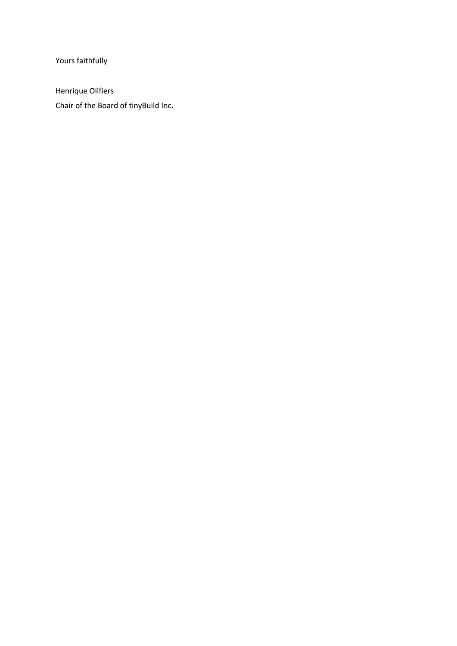Yours faithfully

Henrique Olifiers Chair of the Board of tinyBuild Inc.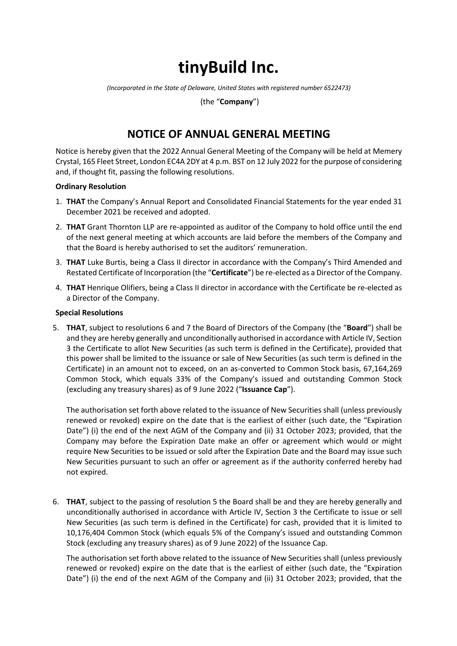## **tinyBuild Inc.**

*(Incorporated in the State of Delaware, United States with registered number 6522473)*

(the "**Company**")

### **NOTICE OF ANNUAL GENERAL MEETING**

Notice is hereby given that the 2022 Annual General Meeting of the Company will be held at Memery Crystal, 165 Fleet Street, London EC4A 2DY at 4 p.m. BST on 12 July 2022 for the purpose of considering and, if thought fit, passing the following resolutions.

#### **Ordinary Resolution**

- 1. **THAT** the Company's Annual Report and Consolidated Financial Statements for the year ended 31 December 2021 be received and adopted.
- 2. **THAT** Grant Thornton LLP are re-appointed as auditor of the Company to hold office until the end of the next general meeting at which accounts are laid before the members of the Company and that the Board is hereby authorised to set the auditors' remuneration.
- 3. **THAT** Luke Burtis, being a Class II director in accordance with the Company's Third Amended and Restated Certificate of Incorporation (the "**Certificate**") be re-elected as a Director of the Company.
- 4. **THAT** Henrique Olifiers, being a Class II director in accordance with the Certificate be re-elected as a Director of the Company.

#### **Special Resolutions**

5. **THAT**, subject to resolutions 6 and 7 the Board of Directors of the Company (the "**Board**") shall be and they are hereby generally and unconditionally authorised in accordance with Article IV, Section 3 the Certificate to allot New Securities (as such term is defined in the Certificate), provided that this power shall be limited to the issuance or sale of New Securities (as such term is defined in the Certificate) in an amount not to exceed, on an as-converted to Common Stock basis, 67,164,269 Common Stock, which equals 33% of the Company's issued and outstanding Common Stock (excluding any treasury shares) as of 9 June 2022 ("**Issuance Cap**").

The authorisation set forth above related to the issuance of New Securities shall (unless previously renewed or revoked) expire on the date that is the earliest of either (such date, the "Expiration Date") (i) the end of the next AGM of the Company and (ii) 31 October 2023; provided, that the Company may before the Expiration Date make an offer or agreement which would or might require New Securities to be issued or sold after the Expiration Date and the Board may issue such New Securities pursuant to such an offer or agreement as if the authority conferred hereby had not expired.

6. **THAT**, subject to the passing of resolution 5 the Board shall be and they are hereby generally and unconditionally authorised in accordance with Article IV, Section 3 the Certificate to issue or sell New Securities (as such term is defined in the Certificate) for cash, provided that it is limited to 10,176,404 Common Stock (which equals 5% of the Company's issued and outstanding Common Stock (excluding any treasury shares) as of 9 June 2022) of the Issuance Cap.

The authorisation set forth above related to the issuance of New Securities shall (unless previously renewed or revoked) expire on the date that is the earliest of either (such date, the "Expiration Date") (i) the end of the next AGM of the Company and (ii) 31 October 2023; provided, that the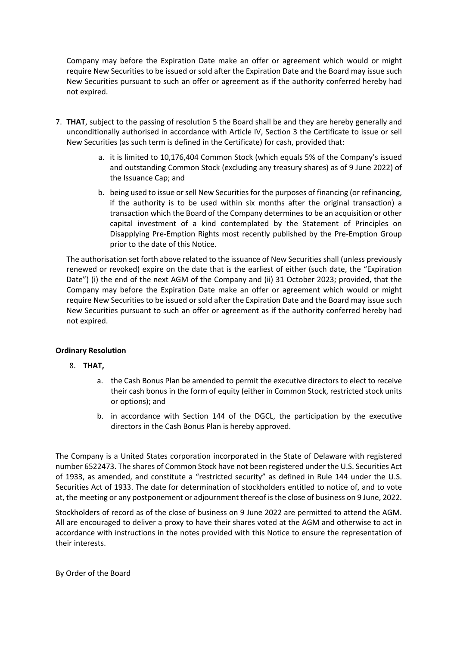Company may before the Expiration Date make an offer or agreement which would or might require New Securities to be issued or sold after the Expiration Date and the Board may issue such New Securities pursuant to such an offer or agreement as if the authority conferred hereby had not expired.

- 7. **THAT**, subject to the passing of resolution 5 the Board shall be and they are hereby generally and unconditionally authorised in accordance with Article IV, Section 3 the Certificate to issue or sell New Securities (as such term is defined in the Certificate) for cash, provided that:
	- a. it is limited to 10,176,404 Common Stock (which equals 5% of the Company's issued and outstanding Common Stock (excluding any treasury shares) as of 9 June 2022) of the Issuance Cap; and
	- b. being used to issue or sell New Securities for the purposes of financing (or refinancing, if the authority is to be used within six months after the original transaction) a transaction which the Board of the Company determines to be an acquisition or other capital investment of a kind contemplated by the Statement of Principles on Disapplying Pre-Emption Rights most recently published by the Pre-Emption Group prior to the date of this Notice.

The authorisation set forth above related to the issuance of New Securities shall (unless previously renewed or revoked) expire on the date that is the earliest of either (such date, the "Expiration Date") (i) the end of the next AGM of the Company and (ii) 31 October 2023; provided, that the Company may before the Expiration Date make an offer or agreement which would or might require New Securities to be issued or sold after the Expiration Date and the Board may issue such New Securities pursuant to such an offer or agreement as if the authority conferred hereby had not expired.

#### **Ordinary Resolution**

- 8. **THAT,**
	- a. the Cash Bonus Plan be amended to permit the executive directors to elect to receive their cash bonus in the form of equity (either in Common Stock, restricted stock units or options); and
	- b. in accordance with Section 144 of the DGCL, the participation by the executive directors in the Cash Bonus Plan is hereby approved.

The Company is a United States corporation incorporated in the State of Delaware with registered number 6522473. The shares of Common Stock have not been registered under the U.S. Securities Act of 1933, as amended, and constitute a "restricted security" as defined in Rule 144 under the U.S. Securities Act of 1933. The date for determination of stockholders entitled to notice of, and to vote at, the meeting or any postponement or adjournment thereof is the close of business on 9 June, 2022.

Stockholders of record as of the close of business on 9 June 2022 are permitted to attend the AGM. All are encouraged to deliver a proxy to have their shares voted at the AGM and otherwise to act in accordance with instructions in the notes provided with this Notice to ensure the representation of their interests.

By Order of the Board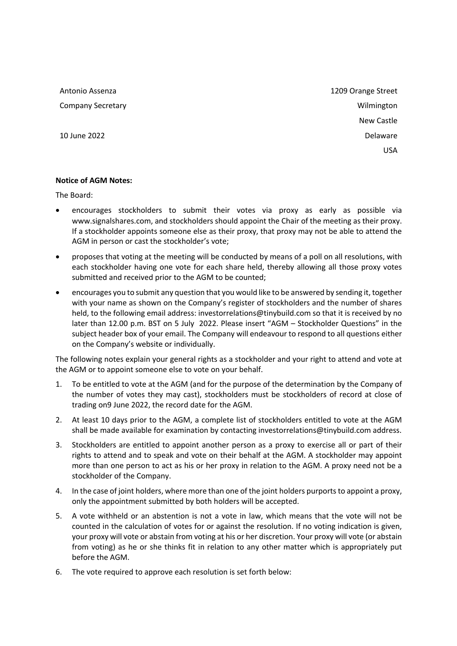Antonio Assenza 1209 Orange Street **Company Secretary Company Secretary Company Secretary Company Secretary Company Secretary Company Secretary Company Secretary Company Secretary Company Secretary Company Secretary Company Secretary Company Secretary Compa** 

New Castle 10 June 2022 Delaware USA

#### **Notice of AGM Notes:**

The Board:

- encourages stockholders to submit their votes via proxy as early as possible via www.signalshares.com, and stockholders should appoint the Chair of the meeting as their proxy. If a stockholder appoints someone else as their proxy, that proxy may not be able to attend the AGM in person or cast the stockholder's vote;
- proposes that voting at the meeting will be conducted by means of a poll on all resolutions, with each stockholder having one vote for each share held, thereby allowing all those proxy votes submitted and received prior to the AGM to be counted;
- encourages you to submit any question that you would like to be answered by sending it, together with your name as shown on the Company's register of stockholders and the number of shares held, to the following email address: investorrelations@tinybuild.com so that it is received by no later than 12.00 p.m. BST on 5 July 2022. Please insert "AGM – Stockholder Questions" in the subject header box of your email. The Company will endeavour to respond to all questions either on the Company's website or individually.

The following notes explain your general rights as a stockholder and your right to attend and vote at the AGM or to appoint someone else to vote on your behalf.

- 1. To be entitled to vote at the AGM (and for the purpose of the determination by the Company of the number of votes they may cast), stockholders must be stockholders of record at close of trading on9 June 2022, the record date for the AGM.
- 2. At least 10 days prior to the AGM, a complete list of stockholders entitled to vote at the AGM shall be made available for examination by contacting investorrelations@tinybuild.com address.
- 3. Stockholders are entitled to appoint another person as a proxy to exercise all or part of their rights to attend and to speak and vote on their behalf at the AGM. A stockholder may appoint more than one person to act as his or her proxy in relation to the AGM. A proxy need not be a stockholder of the Company.
- 4. In the case of joint holders, where more than one of the joint holders purports to appoint a proxy, only the appointment submitted by both holders will be accepted.
- 5. A vote withheld or an abstention is not a vote in law, which means that the vote will not be counted in the calculation of votes for or against the resolution. If no voting indication is given, your proxy will vote or abstain from voting at his or her discretion. Your proxy will vote (or abstain from voting) as he or she thinks fit in relation to any other matter which is appropriately put before the AGM.
- 6. The vote required to approve each resolution is set forth below: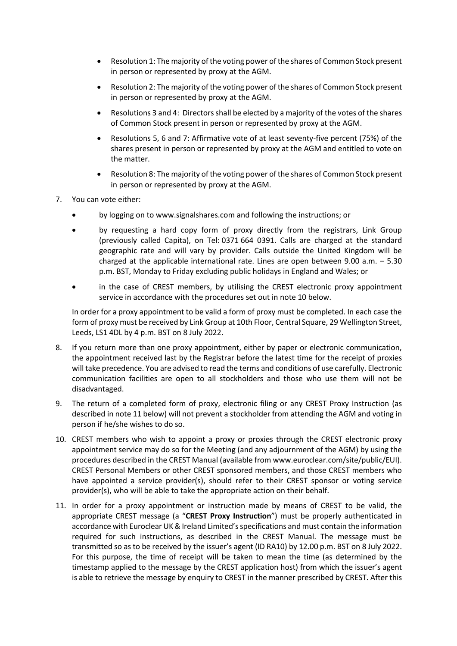- Resolution 1: The majority of the voting power of the shares of Common Stock present in person or represented by proxy at the AGM.
- Resolution 2: The majority of the voting power of the shares of Common Stock present in person or represented by proxy at the AGM.
- Resolutions 3 and 4: Directors shall be elected by a majority of the votes of the shares of Common Stock present in person or represented by proxy at the AGM.
- Resolutions 5, 6 and 7: Affirmative vote of at least seventy-five percent (75%) of the shares present in person or represented by proxy at the AGM and entitled to vote on the matter.
- Resolution 8: The majority of the voting power of the shares of Common Stock present in person or represented by proxy at the AGM.
- 7. You can vote either:
	- by logging on to www.signalshares.com and following the instructions; or
	- by requesting a hard copy form of proxy directly from the registrars, Link Group (previously called Capita), on Tel: 0371 664 0391. Calls are charged at the standard geographic rate and will vary by provider. Calls outside the United Kingdom will be charged at the applicable international rate. Lines are open between 9.00 a.m. – 5.30 p.m. BST, Monday to Friday excluding public holidays in England and Wales; or
	- in the case of CREST members, by utilising the CREST electronic proxy appointment service in accordance with the procedures set out in note 10 below.

In order for a proxy appointment to be valid a form of proxy must be completed. In each case the form of proxy must be received by Link Group at 10th Floor, Central Square, 29 Wellington Street, Leeds, LS1 4DL by 4 p.m. BST on 8 July 2022.

- 8. If you return more than one proxy appointment, either by paper or electronic communication, the appointment received last by the Registrar before the latest time for the receipt of proxies will take precedence. You are advised to read the terms and conditions of use carefully. Electronic communication facilities are open to all stockholders and those who use them will not be disadvantaged.
- 9. The return of a completed form of proxy, electronic filing or any CREST Proxy Instruction (as described in note 11 below) will not prevent a stockholder from attending the AGM and voting in person if he/she wishes to do so.
- 10. CREST members who wish to appoint a proxy or proxies through the CREST electronic proxy appointment service may do so for the Meeting (and any adjournment of the AGM) by using the procedures described in the CREST Manual (available from www.euroclear.com/site/public/EUI). CREST Personal Members or other CREST sponsored members, and those CREST members who have appointed a service provider(s), should refer to their CREST sponsor or voting service provider(s), who will be able to take the appropriate action on their behalf.
- 11. In order for a proxy appointment or instruction made by means of CREST to be valid, the appropriate CREST message (a "**CREST Proxy Instruction**") must be properly authenticated in accordance with Euroclear UK & Ireland Limited's specifications and must contain the information required for such instructions, as described in the CREST Manual. The message must be transmitted so as to be received by the issuer's agent (ID RA10) by 12.00 p.m. BST on 8 July 2022. For this purpose, the time of receipt will be taken to mean the time (as determined by the timestamp applied to the message by the CREST application host) from which the issuer's agent is able to retrieve the message by enquiry to CREST in the manner prescribed by CREST. After this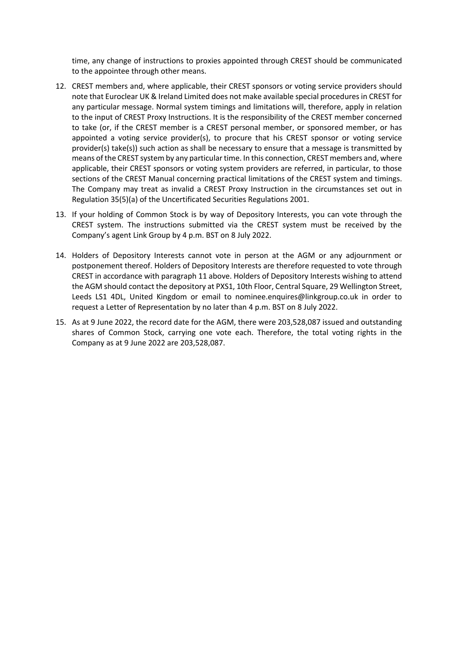time, any change of instructions to proxies appointed through CREST should be communicated to the appointee through other means.

- 12. CREST members and, where applicable, their CREST sponsors or voting service providers should note that Euroclear UK & Ireland Limited does not make available special procedures in CREST for any particular message. Normal system timings and limitations will, therefore, apply in relation to the input of CREST Proxy Instructions. It is the responsibility of the CREST member concerned to take (or, if the CREST member is a CREST personal member, or sponsored member, or has appointed a voting service provider(s), to procure that his CREST sponsor or voting service provider(s) take(s)) such action as shall be necessary to ensure that a message is transmitted by means of the CREST system by any particular time. In this connection, CREST members and, where applicable, their CREST sponsors or voting system providers are referred, in particular, to those sections of the CREST Manual concerning practical limitations of the CREST system and timings. The Company may treat as invalid a CREST Proxy Instruction in the circumstances set out in Regulation 35(5)(a) of the Uncertificated Securities Regulations 2001.
- 13. If your holding of Common Stock is by way of Depository Interests, you can vote through the CREST system. The instructions submitted via the CREST system must be received by the Company's agent Link Group by 4 p.m. BST on 8 July 2022.
- 14. Holders of Depository Interests cannot vote in person at the AGM or any adjournment or postponement thereof. Holders of Depository Interests are therefore requested to vote through CREST in accordance with paragraph 11 above. Holders of Depository Interests wishing to attend the AGM should contact the depository at PXS1, 10th Floor, Central Square, 29 Wellington Street, Leeds LS1 4DL, United Kingdom or email to nominee.enquires@linkgroup.co.uk in order to request a Letter of Representation by no later than 4 p.m. BST on 8 July 2022.
- 15. As at 9 June 2022, the record date for the AGM, there were 203,528,087 issued and outstanding shares of Common Stock, carrying one vote each. Therefore, the total voting rights in the Company as at 9 June 2022 are 203,528,087.